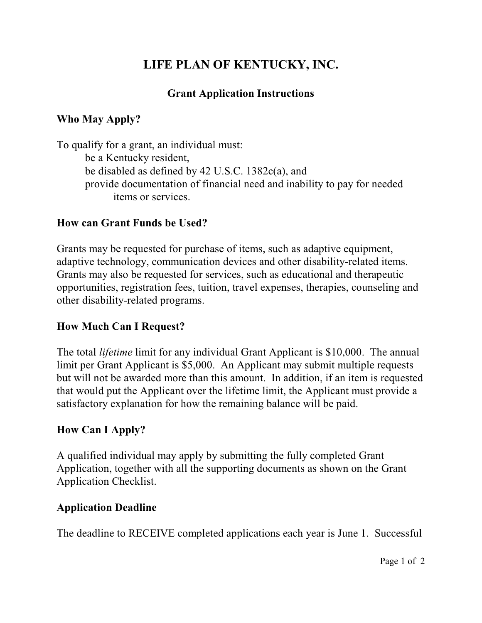# **LIFE PLAN OF KENTUCKY, INC.**

## **Grant Application Instructions**

# **Who May Apply?**

To qualify for a grant, an individual must: be a Kentucky resident, be disabled as defined by 42 U.S.C. 1382c(a), and provide documentation of financial need and inability to pay for needed items or services.

#### **How can Grant Funds be Used?**

Grants may be requested for purchase of items, such as adaptive equipment, adaptive technology, communication devices and other disability-related items. Grants may also be requested for services, such as educational and therapeutic opportunities, registration fees, tuition, travel expenses, therapies, counseling and other disability-related programs.

#### **How Much Can I Request?**

The total *lifetime* limit for any individual Grant Applicant is \$10,000. The annual limit per Grant Applicant is \$5,000. An Applicant may submit multiple requests but will not be awarded more than this amount. In addition, if an item is requested that would put the Applicant over the lifetime limit, the Applicant must provide a satisfactory explanation for how the remaining balance will be paid.

#### **How Can I Apply?**

A qualified individual may apply by submitting the fully completed Grant Application, together with all the supporting documents as shown on the Grant Application Checklist.

#### **Application Deadline**

The deadline to RECEIVE completed applications each year is June 1. Successful